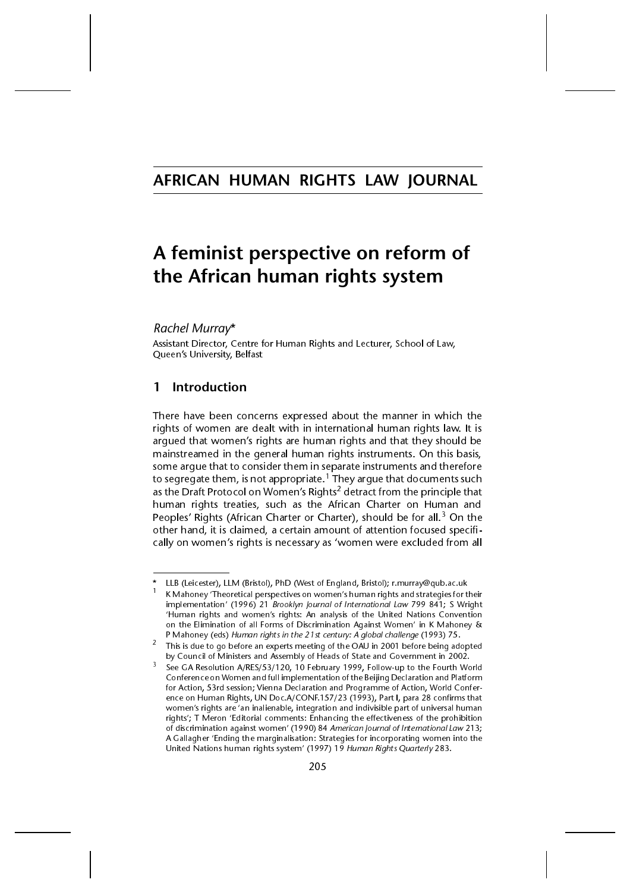# AFRICAN HUMAN RIGHTS LAW JOURNAL

# A feminist perspective on reform of the African human rights system

# Rachel Murray\*

Assistant Director, Centre for Human Rights and Lecturer, School of Law, Queen's University, Belfast

# 1 Introduction

\*

There have been concerns expressed about the manner in which the rights of women are dealt with in international human rights law. It is arqued that women's rights are human rights and that they should be mainstreamed in the general human rights instruments. On this basis, some argue that to consider them in separate instruments and therefore to segregate them, is not appropriate.<sup>1</sup> They argue that documents such as the Draft Protocol on Women's Rights<sup>2</sup> detract from the principle that human rights treaties, such as the African Charter on Human and Peoples' Rights (African Charter or Charter), should be for all.<sup>3</sup> On the other hand, it is claimed, a certain amount of attention focused specifically on women's rights is necessary as 'women were excluded from all

LLB (Leicester), LLM (Bristol), PhD (West of England, Bristol); r.murray@qub.ac.uk<br>K Mahoney 'Theoretical perspectives on women's human rights and strategies for their

implementation' (1996) 21 Brooklyn Journal of International Law 799 841; S Wright 'Human rights and women's rights: An analysis of the United Nations Convention on the Elimination of all Forms of Discrimination Against Women' in K Mahoney &

P Mahoney (eds) Human rights in the 21st century: A global challenge (1993) 75.<br>This is due to go before an experts meeting of the OAU in 2001 before being adopted<br>by Council of Ministers and Assembly of Heads of State and

See GA Resolution A/RES/53/120, 10 February 1999, Follow-up to the Fourth World Conference on Women and full implementation of the Beijing Declaration and Platform for Action, 53rd session; Vienna Declaration and Programme of Action, World Conference on Human Rights, UN Doc.A/CONF.157/23 (1993), Part I, para 28 confirms that women's rights are 'an inalienable, integration and indivisible part of universal human rights'; T Meron 'Editorial comments: Enhancing the effectiveness of the prohibition of discrimination against women' (1990) 84 American Journal of International Law 213; A Gallagher Ending the marginalisation: Strategies for incorporating women into the United Nations human rights system' (1997) 19 Human Rights Quarterly 283.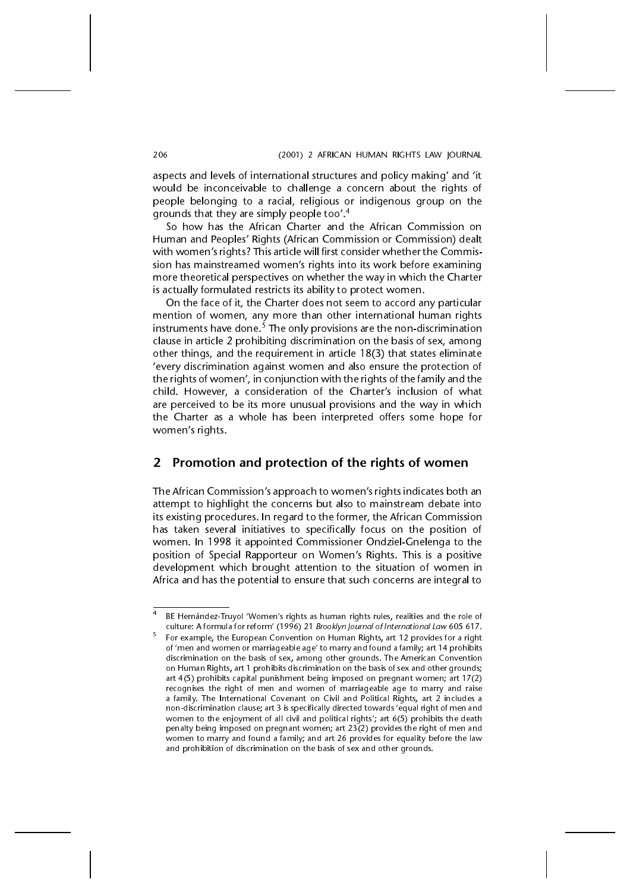aspects and levels of international structures and policy making' and 'it would be inconceivable to challenge a concern about the rights of people belonging to a racial, religious or indigenous group on the grounds that they are simply people too'.<sup>4</sup>

So how has the African Charter and the African Commission on Human and Peoples' Rights (African Commission or Commission) dealt with women's rights? This article will first consider whether the Commission has mainstreamed women's rights into its work before examining more theoretical perspectives on whether the way in which the Charter is actually formulated restricts its ability to protect women.

On the face of it, the Charter does not seem to accord any particular mention of women, any more than other international human rights instruments have done.<sup>5</sup> The only provisions are the non-discrimination clause in article 2 prohibiting discrimination on the basis of sex, among other things, and the requirement in article 18(3) that states eliminate every discrimination against women and also ensure the protection of the rights of women', in conjunction with the rights of the family and the child. However, a consideration of the Charter's inclusion of what are perceived to be its more unusual provisions and the way in which the Charter as a whole has been interpreted offers some hope for women's rights.

# 2 Promotion and protection of the rights of women

The African Commission's approach to women's rights indicates both an attempt to highlight the concerns but also to mainstream debate into its existing procedures. In regard to the former, the African Commission has taken several initiatives to specifically focus on the position of women. In 1998 it appointed Commissioner Ondziel-Gnelenga to the position of Special Rapporteur on Women's Rights. This is a positive development which brought attention to the situation of women in Africa and has the potential to ensure that such concerns are integral to

BE Hernández-Truyol 'Women's rights as human rights rules, realities and the role of culture: A formula for reform' (1996) 21 Brooklyn Journal of International Law 605 617.<br>For example, the European Convention on Human Rights, art 12 provides for a right of 'men and women or marriageable age' to marry and found a family; art 14 prohibits discrimination on the basis of sex, among other grounds. The American Convention on Human Rights, art 1 prohibits discrimination on the basis of sex and other grounds; art 4(5) prohibits capital punishment being imposed on pregnant women; art 17(2) recognises the right of men and women of marriageable age to marry and raise a family. The International Covenant on Civil and Political Rights, art 2 includes a non-discrimination clause; art 3 is specifically directed towards 'equal right of men and women to the enjoyment of all civil and political rights'; art 6(5) prohibits the death penalty being imposed on pregnant women; art 23(2) provides the right of men and women to marry and found a family; and art 26 provides for equality before the law and prohibition of discrimination on the basis of sex and other grounds.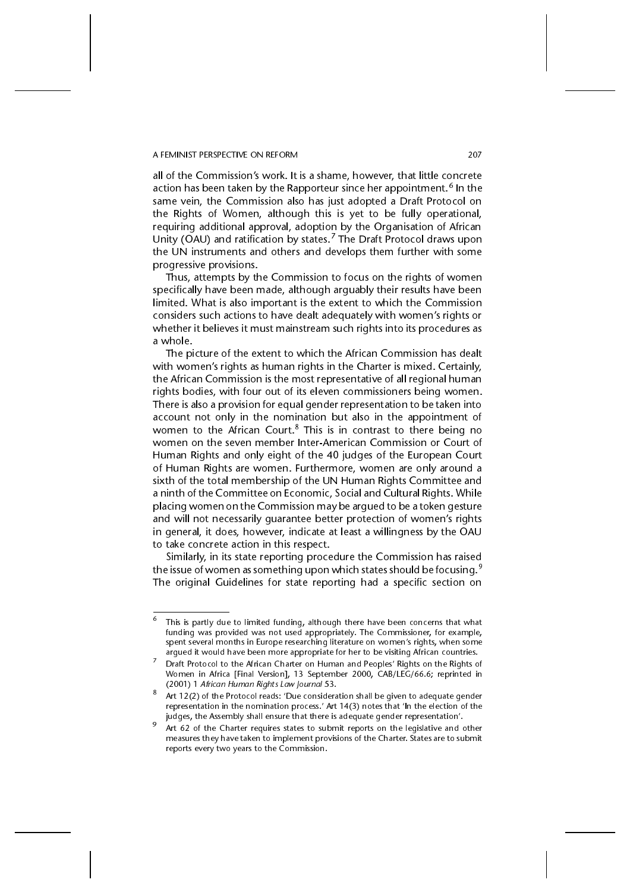all of the Commission's work. It is a shame, however, that little concrete action has been taken by the Rapporteur since her appointment.<sup>6</sup> In the same vein, the Commission also has just adopted a Draft Protocol on the Rights of Women, although this is yet to be fully operational, requiring additional approval, adoption by the Organisation of African Unity (OAU) and ratification by states.<sup>7</sup> The Draft Protocol draws upon the UN instruments and others and develops them further with some progressive provisions.

Thus, attempts by the Commission to focus on the rights of women specifically have been made, although arguably their results have been limited. What is also important is the extent to which the Commission considers such actions to have dealt adequately with women's rights or whether it believes it must mainstream such rights into its procedures as a whole.

The picture of the extent to which the African Commission has dealt with women's rights as human rights in the Charter is mixed. Certainly, the African Commission is the most representative of all regional human rights bodies, with four out of its eleven commissioners being women. There is also a provision for equal gender representation to be taken into account not only in the nomination but also in the appointment of women to the African Court.<sup>8</sup> This is in contrast to there being no women on the seven member Inter-American Commission or Court of Human Rights and only eight of the 40 judges of the European Court of Human Rights are women. Furthermore, women are only around a sixth of the total membership of the UN Human Rights Committee and a ninth of the Committee on Economic, Social and Cultural Rights. While placing women on the Commission may be argued to be a token gesture and will not necessarily quarantee better protection of women's rights in general, it does, however, indicate at least a willingness by the OAU to take concrete action in this respect.

Similarly, in its state reporting procedure the Commission has raised the issue of women as something upon which states should be focusing.<sup>9</sup> The original Guidelines for state reporting had a specific section on

 $6$  This is partly due to limited funding, although there have been concerns that what funding was provided was not used appropriately. The Commissioner, for example, spent several months in Europe researching literature on women's rights, when some argued it would have been more appropriate for her to be visiting African countries.

Draft Protocol to the African Charter on Human and Peoples' Rights on the Rights of Women in Africa [Final Version], 13 September 2000, CAB/LEG/66.6; reprinted in (2001) 1 African Human Rights Law Journal 53.

Art 12(2) of the Protocol reads: 'Due consideration shall be given to adequate gender representation in the nomination process.' Art 14(3) notes that 'In the election of the

judges, the Assembly shall ensure that there is adequate gender representation'.<br>Art 62 of the Charter requires states to submit reports on the legislative and other measures they have taken to implement provisions of the Charter. States are to submit reports every two years to the Commission.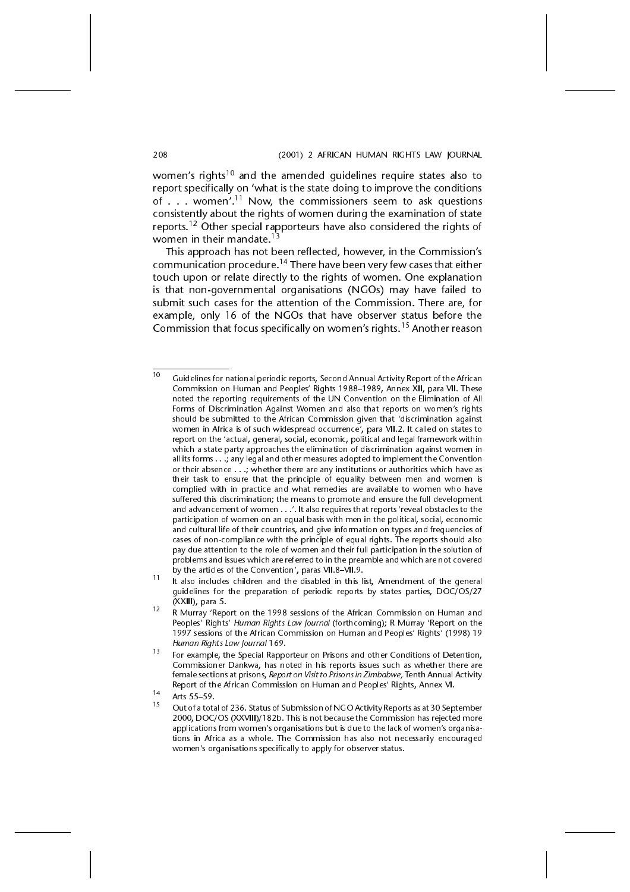women's rights<sup>10</sup> and the amended guidelines require states also to report specifically on 'what is the state doing to improve the conditions of  $\dots$  women<sup>'.11</sup> Now, the commissioners seem to ask questions consistently about the rights of women during the examination of state reports.<sup>12</sup> Other special rapporteurs have also considered the rights of women in their mandate. $1$ 

This approach has not been reflected, however, in the Commission's communication procedure.<sup>14</sup> There have been very few cases that either touch upon or relate directly to the rights of women. One explanation is that non-governmental organisations (NGOs) may have failed to submit such cases for the attention of the Commission. There are, for example, only 16 of the NGOs that have observer status before the Commission that focus specifically on women's rights.<sup>15</sup> Another reason

 $10$  Guidelines for national periodic reports, Second Annual Activity Report of the African Commission on Human and Peoples' Rights 1988-1989, Annex XII, para VII. These noted the reporting requirements of the UN Convention on the Elimination of All Forms of Discrimination Against Women and also that reports on women's rights should be submitted to the African Commission given that 'discrimination against women in Africa is of such widespread occurrence', para VII.2. It called on states to report on the 'actual, general, social, economic, political and legal framework within which a state party approaches the elimination of discrimination against women in all its forms . . .; any legal and other measures adopted to implement the Convention or their absence . . .; whether there are any institutions or authorities which have as their task to ensure that the principle of equality between men and women is complied with in practice and what remedies are available to women who have suffered this discrimination; the means to promote and ensure the full development and advancement of women . . . '. It also requires that reports 'reveal obstacles to the participation of women on an equal basis with men in the political, social, economic and cultural life of their countries, and give information on types and frequencies of cases of non-compliance with the principle of equal rights. The reports should also pay due attention to the role of women and their full participation in the solution of problems and issues which are referred to in the preamble and which are not covered<br>by the articles of the Convention', paras VII.8–VII.9.

 $11$  It also includes children and the disabled in this list, Amendment of the general guidelines for the preparation of periodic reports by states parties, DOC/OS/27 (XXIII), para 5.

<sup>12</sup> R Murray Report on the 1998 sessions of the African Commission on Human and Peoples' Rights' Human Rights Law Journal (forthcoming); R Murray 'Report on the 1997 sessions of the African Commission on Human and Peoples' Rights' (1998) 19<br>Human Rights Law Journal 169.

 $\frac{13}{13}$  For example, the Special Rapporteur on Prisons and other Conditions of Detention, Commissioner Dankwa, has noted in his reports issues such as whether there are female sections at prisons, Report on Visit to Prisons in Zimbabwe, Tenth Annual Activity<br>Report of the African Commission on Human and Peoples' Rights, Annex VI.

Report of the African Commission of Human and Peoples Arts Arts Arts S<br><sup>15</sup> Out of a total of 236. Status of Submission of NGO Activity Reports as at 30 September 2000, DOC/OS (XXVIII)/182b. This is not because the Commission has rejected more applications from women's organisations but is due to the lack of women's organisations in Africa as a whole. The Commission has also not necessarily encouraged women's organisations specifically to apply for observer status.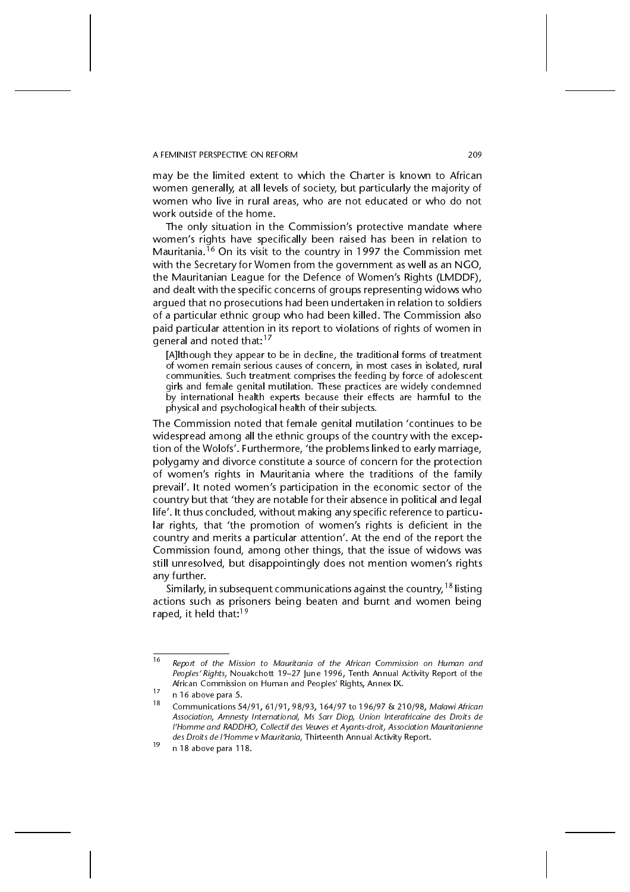may be the limited extent to which the Charter is known to African women generally, at all levels of society, but particularly the majority of women who live in rural areas, who are not educated or who do not work outside of the home.

The only situation in the Commission's protective mandate where women's rights have specifically been raised has been in relation to Mauritania.<sup>16</sup> On its visit to the country in 1997 the Commission met with the Secretary for Women from the government as well as an NGO, the Mauritanian League for the Defence of Women's Rights (LMDDF), and dealt with the specific concerns of groups representing widows who argued that no prosecutions had been undertaken in relation to soldiers of a particular ethnic group who had been killed. The Commission also paid particular attention in its report to violations of rights of women in general and noted that:<sup>17</sup>

[A]lthough they appear to be in decline, the traditional forms of treatment of women remain serious causes of concern, in most cases in isolated, rural communities. Such treatment comprises the feeding by force of adolescent girls and female genital mutilation. These practices are widely condemned by international health experts because their effects are harmful to the physical and psychological health of their subjects.

The Commission noted that female genital mutilation 'continues to be widespread among all the ethnic groups of the country with the exception of the Wolofs'. Furthermore, 'the problems linked to early marriage, polygamy and divorce constitute a source of concern for the protection of women's rights in Mauritania where the traditions of the family prevail'. It noted women's participation in the economic sector of the country but that 'they are notable for their absence in political and legal life'. It thus concluded, without making any specific reference to particular rights, that 'the promotion of women's rights is deficient in the country and merits a particular attention'. At the end of the report the Commission found, among other things, that the issue of widows was still unresolved, but disappointingly does not mention women's rights any further.

Similarly, in subsequent communications against the country,  $18$  listing actions such as prisoners being beaten and burnt and women being raped, it held that:<sup>19</sup>

<sup>&</sup>lt;sup>16</sup> Report of the Mission to Mauritania of the African Commission on Human and Peoples' Rights, Nouakchott 19–27 June 1996, Tenth Annual Activity Report of the<br>African Commission on Human and Peoples' Rights, Annex IX.

 $\frac{17}{16}$  n 16 above para 5.<br>  $\frac{18}{16}$  Communications 54/91, 61/91, 98/93, 164/97 to 196/97 & 210/98, Malawi African Association, Amnesty International, Ms Sarr Diop, Union Interafricaine des Droits de l'Homme and RADDHO, Collectif des Veuves et Ayants-droit, Association Mauritanienne des Droits de l'Homme v Mauritania, Thirteenth Annual Activity Report.<br>19 n 18 above para 118.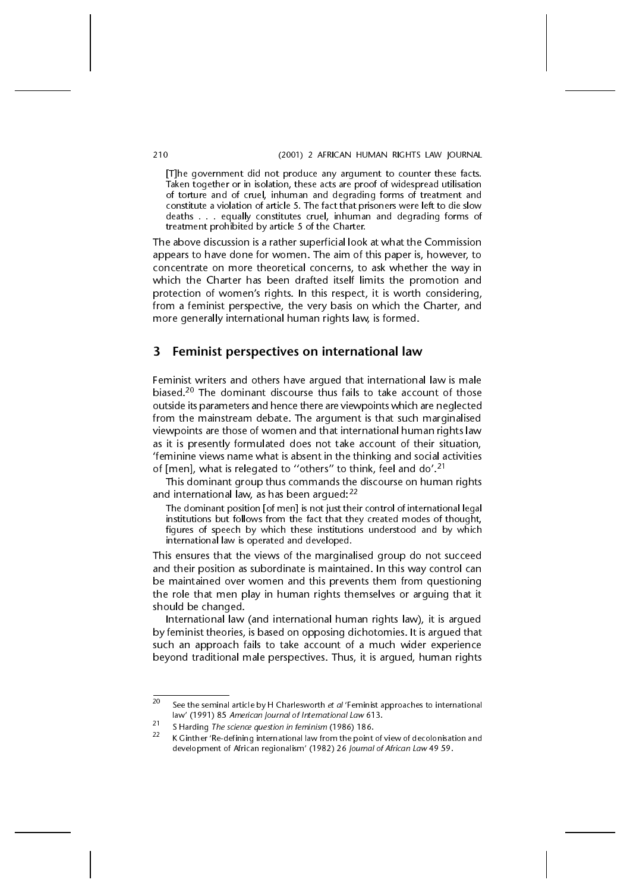[T]he government did not produce any argument to counter these facts. Taken together or in isolation, these acts are proof of widespread utilisation of torture and of cruel, inhuman and degrading forms of treatment and constitute a violation of article 5. The fact that prisoners were left to die slow deaths . . . equally constitutes cruel, inhuman and degrading forms of treatment prohibited by article 5 of the Charter.

The above discussion is a rather superficial look at what the Commission appears to have done for women. The aim of this paper is, however, to concentrate on more theoretical concerns, to ask whether the way in which the Charter has been drafted itself limits the promotion and protection of women's rights. In this respect, it is worth considering, from a feminist perspective, the very basis on which the Charter, and more generally international human rights law, is formed.

#### $\mathbf{3}$ Feminist perspectives on international law

Feminist writers and others have argued that international law is male biased.<sup>20</sup> The dominant discourse thus fails to take account of those outside its parameters and hence there are viewpoints which are neglected from the mainstream debate. The argument is that such marginalised viewpoints are those of women and that international human rights law as it is presently formulated does not take account of their situation, feminine views name what is absent in the thinking and social activities of [men], what is relegated to "others" to think, feel and do'.<sup>21</sup>

This dominant group thus commands the discourse on human rights and international law, as has been argued: <sup>22</sup>

The dominant position [of men] is not just their control of international legal institutions but follows from the fact that they created modes of thought, figures of speech by which these institutions understood and by which international law is operated and developed.

This ensures that the views of the marginalised group do not succeed and their position as subordinate is maintained. In this way control can be maintained over women and this prevents them from questioning the role that men play in human rights themselves or arguing that it should be changed.

International law (and international human rights law), it is argued by feminist theories, is based on opposing dichotomies. It is argued that such an approach fails to take account of a much wider experience beyond traditional male perspectives. Thus, it is argued, human rights

<sup>&</sup>lt;sup>20</sup> See the seminal article by H Charlesworth *et al 'Feminist approaches to international* law' (1991) 85 American Journal of International Law 613.

 $\frac{21}{2}$  S Harding *The science question in feminism* (1986) 186.<br><sup>22</sup> K Ginther Re-defining international law from the point of view of decolonisation and development of African regionalism' (1982) 26 Journal of African Law 49 59.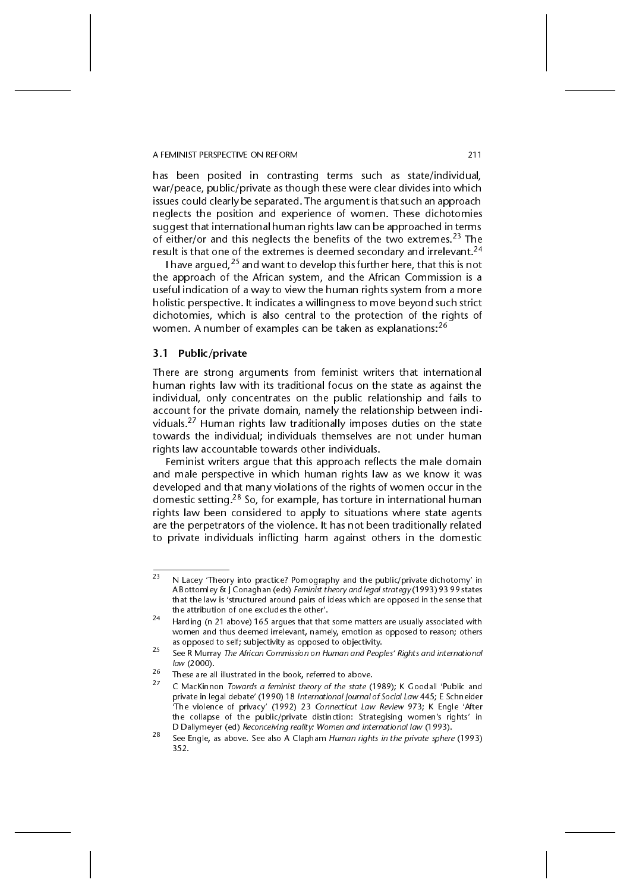has been posited in contrasting terms such as state/individual, war/peace, public/private as though these were clear divides into which issues could clearly be separated. The argument is that such an approach neglects the position and experience of women. These dichotomies suggest that international human rights law can be approached in terms of either/or and this neglects the benefits of the two extremes.<sup>23</sup> The result is that one of the extremes is deemed secondary and irrelevant.<sup>24</sup>

I have argued,  $^{25}$  and want to develop this further here, that this is not the approach of the African system, and the African Commission is a useful indication of a way to view the human rights system from a more holistic perspective. It indicates a willingness to move beyond such strict dichotomies, which is also central to the protection of the rights of women. A number of examples can be taken as explanations: 26

# 3.1 Public/private

There are strong arguments from feminist writers that international human rights law with its traditional focus on the state as against the individual, only concentrates on the public relationship and fails to account for the private domain, namely the relationship between individuals.<sup>27</sup> Human rights law traditionally imposes duties on the state towards the individual; individuals themselves are not under human rights law accountable towards other individuals.

Feminist writers argue that this approach reflects the male domain and male perspective in which human rights law as we know it was developed and that many violations of the rights of women occur in the domestic setting.28 So, for example, has torture in international human rights law been considered to apply to situations where state agents are the perpetrators of the violence. It has not been traditionally related to private individuals inflicting harm against others in the domestic

<sup>&</sup>lt;sup>23</sup> N Lacey 'Theory into practice? Pornography and the public/private dichotomy' in A Bottomley & J Conaghan (eds) Feminist theory and legal strategy (1993) 93 99 states that the law is 'structured around pairs of ideas which are opposed in the sense that the attribution of one excludes the other'.

the attribution of one excludes the other.<br><sup>24</sup> Harding (n 21 above) 165 argues that that some matters are usually associated with women and thus deemed irrelevant, namely, emotion as opposed to reason; others as opposed to self; subjectivity as opposed to objectivity.

<sup>&</sup>lt;sup>25</sup> See R Murray *The African Commission on Human and Peoples' Rights and international law* (2000).

<sup>&</sup>lt;sup>26</sup> These are all illustrated in the book, referred to above.<br><sup>27</sup> C MacKinnon *Towards a feminist theory of the state* (1989); K Goodall 'Public and private in legal debate' (1990) 18 *International Journal of* Social Law 445; E Schneider 'The violence of privacy' (1992) 23 Conn*ecticut Law Review* 973; K Engle 'After the collapse of the public/private distinction: Strategising women's rights' in

D Dallymeyer (ed) Reconceiving reality: Women and international law (1993).<br><sup>28</sup> See Engle, as above. See also A Clapham Human rights in the private sphere (1993) 352.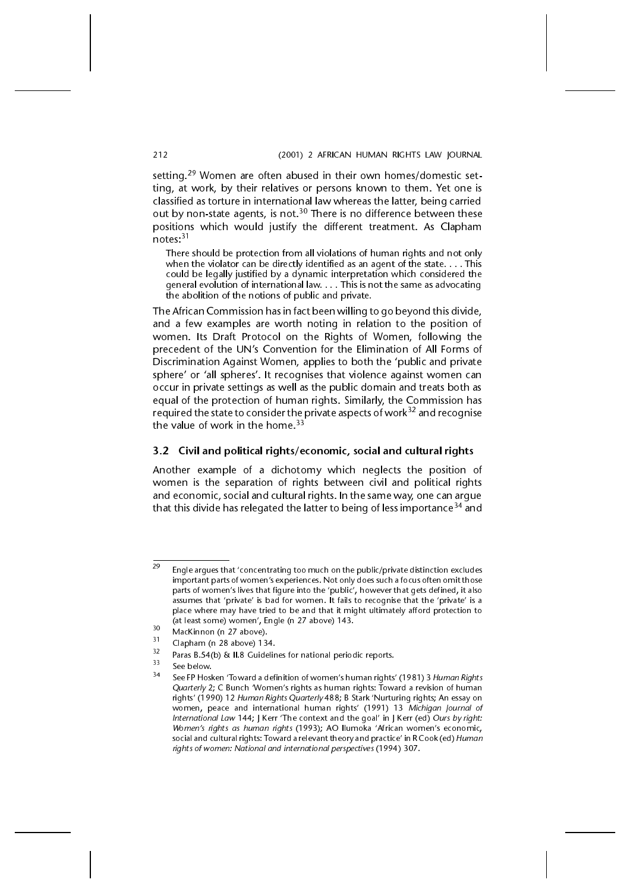setting.<sup>29</sup> Women are often abused in their own homes/domestic setting, at work, by their relatives or persons known to them. Yet one is classified as torture in international law whereas the latter, being carried out by non-state agents, is not.<sup>30</sup> There is no difference between these positions which would justify the different treatment. As Clapham notes:<sup>31</sup>

There should be protection from all violations of human rights and not only when the violator can be directly identified as an agent of the state. . . . This could be legally justified by a dynamic interpretation which considered the general evolution of international law. . . . This is not the same as advocating the abolition of the notions of public and private.

The African Commission has in fact been willing to go beyond this divide, and a few examples are worth noting in relation to the position of women. Its Draft Protocol on the Rights of Women, following the precedent of the UN's Convention for the Elimination of All Forms of Discrimination Against Women, applies to both the 'public and private sphere' or 'all spheres'. It recognises that violence against women can occur in private settings as well as the public domain and treats both as equal of the protection of human rights. Similarly, the Commission has required the state to consider the private aspects of work<sup>32</sup> and recognise the value of work in the home.<sup>33</sup>

### 3.2 Civil and political rights/economic, social and cultural rights

Another example of a dichotomy which neglects the position of women is the separation of rights between civil and political rights and economic, social and cultural rights. In the same way, one can argue that this divide has relegated the latter to being of less importance  $34$  and

 $\overline{29}$  Engle argues that 'concentrating too much on the public/private distinction excludes important parts of women's experiences. Not only does such a focus often omit those parts of women's lives that figure into the 'public', however that gets defined, it also assumes that 'private' is bad for women. It fails to recognise that the 'private' is a place where may have tried to be and that it might ultimately afford protection to

<sup>(</sup>at least some) women', Engle (n 27 above) 143.<br>
<sup>30</sup> MacKinnon (n 27 above).<br>
Clapham (n 28 above) 134.<br>
<sup>32</sup> Paras B.54(b) & II.8 Guidelines for national periodic reports.<br>
<sup>33</sup> See below.<br>
See FP Hosken 'Toward a defin Quarterly 2; C Bunch 'Women's rights as human rights: Toward a revision of human rights' (1990) 12 Human Rights Quarterly 488; B Stark 'Nurturing rights; An essay on women, peace and international human rights' (1991) 13 Michigan Journal of International Law 144; J Kerr 'The context and the goal' in J Kerr (ed) Ours by right: Women's rights as human rights (1993); AO Ilumoka 'African women's economic, social and cultural rights: Toward a relevant theory and practice' in R Cook (ed) Human rights of women: National and international perspectives (1994) 307.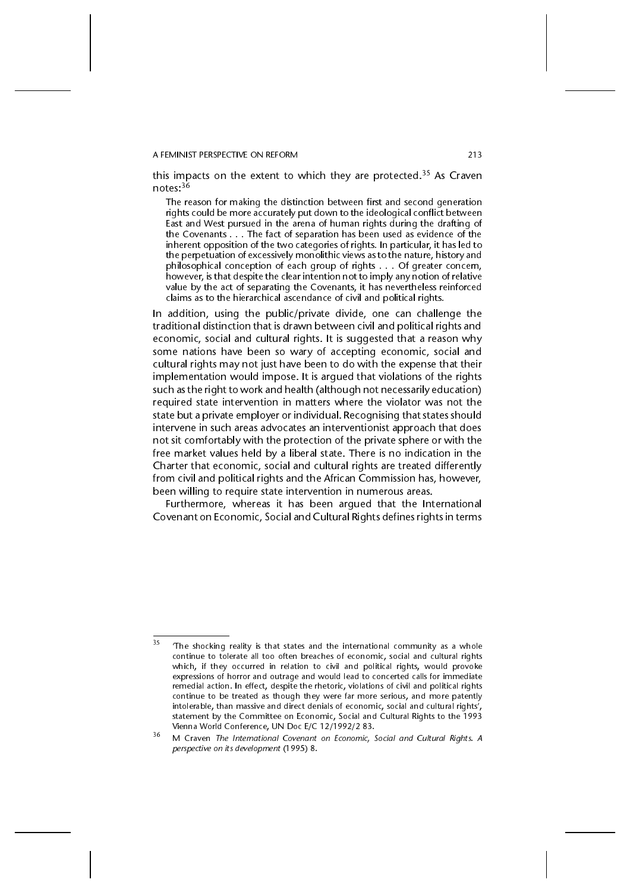this impacts on the extent to which they are protected.<sup>35</sup> As Craven notes:<sup>36</sup>

The reason for making the distinction between first and second generation rights could be more accurately put down to the ideological conflict between East and West pursued in the arena of human rights during the drafting of the Covenants . . . The fact of separation has been used as evidence of the inherent opposition of the two categories of rights. In particular, it has led to the perpetuation of excessively monolithic views as to the nature, history and philosophical conception of each group of rights . . . Of greater concern, however, is that despite the clear intention not to imply any notion of relative value by the act of separating the Covenants, it has nevertheless reinforced claims as to the hierarchical ascendance of civil and political rights.

In addition, using the public/private divide, one can challenge the traditional distinction that is drawn between civil and political rights and economic, social and cultural rights. It is suggested that a reason why some nations have been so wary of accepting economic, social and cultural rights may not just have been to do with the expense that their implementation would impose. It is argued that violations of the rights such as the right to work and health (although not necessarily education) required state intervention in matters where the violator was not the state but a private employer or individual. Recognising that states should intervene in such areas advocates an interventionist approach that does not sit comfortably with the protection of the private sphere or with the free market values held by a liberal state. There is no indication in the Charter that economic, social and cultural rights are treated differently from civil and political rights and the African Commission has, however, been willing to require state intervention in numerous areas.

Furthermore, whereas it has been argued that the International Covenant on Economic, Social and Cultural Rights defines rights in terms

 $35$  The shocking reality is that states and the international community as a whole continue to tolerate all too often breaches of economic, social and cultural rights which, if they occurred in relation to civil and political rights, would provoke expressions of horror and outrage and would lead to concerted calls for immediate remedial action. In effect, despite the rhetoric, violations of civil and political rights continue to be treated as though they were far more serious, and more patently intolerable, than massive and direct denials of economic, social and cultural rights, statement by the Committee on Economic, Social and Cultural Rights to the 1993<br>Vienna World Conference, UN Doc E/C 12/1992/2 83.

 $^{36}$  M Craven The International Covenant on Economic, Social and Cultural Rights. A perspective on its development (1995) 8.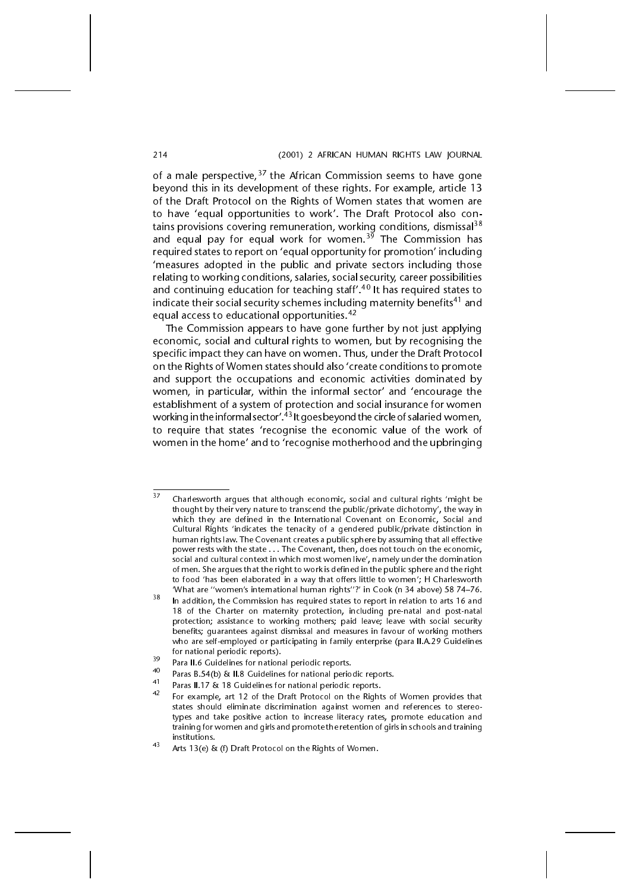of a male perspective,  $37$  the African Commission seems to have gone beyond this in its development of these rights. For example, article 13 of the Draft Protocol on the Rights of Women states that women are to have 'equal opportunities to work'. The Draft Protocol also contains provisions covering remuneration, working conditions, dismissal  $38$ and equal pay for equal work for women.<sup>39</sup> The Commission has required states to report on 'equal opportunity for promotion' including measures adopted in the public and private sectors including those relating to working conditions, salaries, social security, career possibilities and continuing education for teaching staff'.<sup>40</sup> It has required states to indicate their social security schemes including maternity benefits<sup>41</sup> and equal access to educational opportunities.<sup>42</sup>

The Commission appears to have gone further by not just applying economic, social and cultural rights to women, but by recognising the specific impact they can have on women. Thus, under the Draft Protocol on the Rights of Women states should also 'create conditions to promote and support the occupations and economic activities dominated by women, in particular, within the informal sector' and 'encourage the establishment of a system of protection and social insurance for women working in the informal sector'.<sup>43</sup> It goes beyond the circle of salaried women, to require that states 'recognise the economic value of the work of women in the home' and to 'recognise motherhood and the upbringing

 $\frac{37}{37}$  Charlesworth argues that although economic, social and cultural rights 'might be thought by their very nature to transcend the public/private dichotomy', the way in which they are defined in the International Covenant on Economic, Social and Cultural Rights indicates the tenacity of a gendered public/private distinction in human rights law. The Covenant creates a public sphere by assuming that all effective power rests with the state . . . The Covenant, then, does not touch on the economic, social and cultural context in which most women live', namely under the domination of men. She argues that the right to work is defined in the public sphere and the right to food 'has been elaborated in a way that offers little to women'; H Charlesworth<br>'What are "women's international human rights"?' in Cook (n 34 above) 58 74–76.

What are women in the women in the manufacture in the Control of the Commission has required states to report in relation to arts 16 and 18 of the Charter on maternity protection, including pre-natal and post-natal protection; assistance to working mothers; paid leave; leave with social security benefits; guarantees against dismissal and measures in favour of working mothers who are self-employed or participating in family enterprise (para II.A.29 Guidelines for national periodic reports).

Para II.6 Guidelines for national periodic reports.<br>
Paras B.54(b) & II.8 Guidelines for national periodic reports.<br>
Paras II.17 & 18 Guidelines for national periodic reports.<br>
Paras II.17 & 18 Guidelines for national peri states should eliminate discrimination against women and references to stereotypes and take positive action to increase literacy rates, promote education and training for women and girls and promote the retention of girls in schools and training institutions.<br>
43 Arts 13(e) & (f) Draft Protocol on the Rights of Women.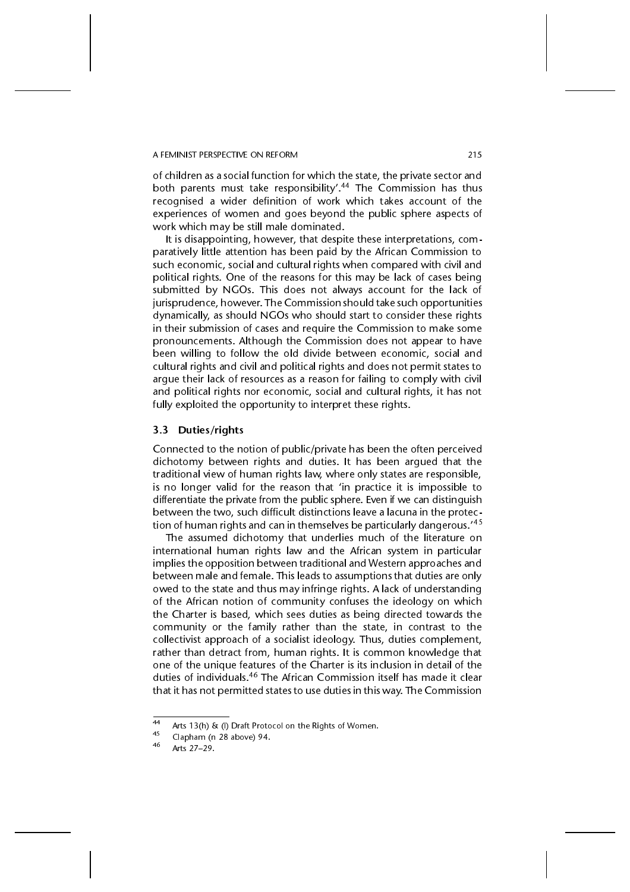of children as a social function for which the state, the private sector and both parents must take responsibility'.<sup>44</sup> The Commission has thus recognised a wider definition of work which takes account of the experiences of women and goes beyond the public sphere aspects of work which may be still male dominated.

It is disappointing, however, that despite these interpretations, comparatively little attention has been paid by the African Commission to such economic, social and cultural rights when compared with civil and political rights. One of the reasons for this may be lack of cases being submitted by NGOs. This does not always account for the lack of jurisprudence, however. The Commission should take such opportunities dynamically, as should NGOs who should start to consider these rights in their submission of cases and require the Commission to make some pronouncements. Although the Commission does not appear to have been willing to follow the old divide between economic, social and cultural rights and civil and political rights and does not permit states to argue their lack of resources as a reason for failing to comply with civil and political rights nor economic, social and cultural rights, it has not fully exploited the opportunity to interpret these rights.

#### 3.3 Duties/rights

Connected to the notion of public/private has been the often perceived dichotomy between rights and duties. It has been argued that the traditional view of human rights law, where only states are responsible, is no longer valid for the reason that 'in practice it is impossible to differentiate the private from the public sphere. Even if we can distinguish between the two, such difficult distinctions leave a lacuna in the protection of human rights and can in themselves be particularly dangerous.<sup>45</sup>

The assumed dichotomy that underlies much of the literature on international human rights law and the African system in particular implies the opposition between traditional and Western approaches and between male and female. This leads to assumptions that duties are only owed to the state and thus may infringe rights. A lack of understanding of the African notion of community confuses the ideology on which the Charter is based, which sees duties as being directed towards the community or the family rather than the state, in contrast to the collectivist approach of a socialist ideology. Thus, duties complement, rather than detract from, human rights. It is common knowledge that one of the unique features of the Charter is its inclusion in detail of the duties of individuals.<sup>46</sup> The African Commission itself has made it clear that it has not permitted states to use duties in this way. The Commission

<sup>44</sup> Arts 13(h) & (l) Draft Protocol on the Rights of Women.<br>45 Clapham (n 28 above) 94.<br>46 Arts 27–29.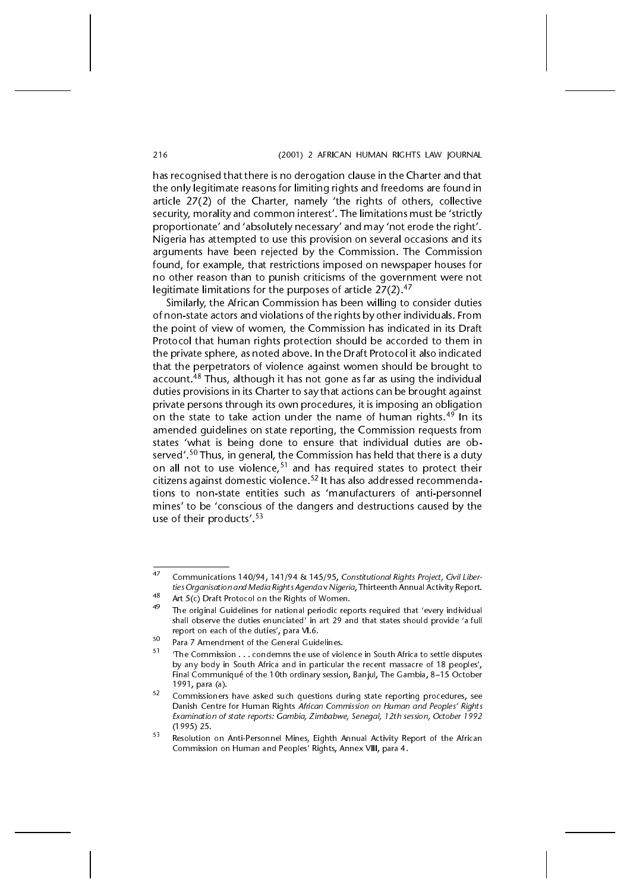has recognised that there is no derogation clause in the Charter and that the only legitimate reasons for limiting rights and freedoms are found in article 27(2) of the Charter, namely 'the rights of others, collective security, morality and common interest'. The limitations must be 'strictly proportionate' and 'absolutely necessary' and may 'not erode the right'. Nigeria has attempted to use this provision on several occasions and its arguments have been rejected by the Commission. The Commission found, for example, that restrictions imposed on newspaper houses for no other reason than to punish criticisms of the government were not legitimate limitations for the purposes of article  $27(2)$ .<sup>47</sup>

Similarly, the African Commission has been willing to consider duties of non-state actors and violations of the rights by other individuals. From the point of view of women, the Commission has indicated in its Draft Protocol that human rights protection should be accorded to them in the private sphere, as noted above. In the Draft Protocol it also indicated that the perpetrators of violence against women should be brought to account.<sup>48</sup> Thus, although it has not gone as far as using the individual duties provisions in its Charter to say that actions can be brought against private persons through its own procedures, it is imposing an obligation on the state to take action under the name of human rights.  $49$  In its amended guidelines on state reporting, the Commission requests from states what is being done to ensure that individual duties are observed'.<sup>50</sup> Thus, in general, the Commission has held that there is a duty on all not to use violence,<sup>51</sup> and has required states to protect their citizens against domestic violence.<sup>52</sup> It has also addressed recommendations to non-state entities such as 'manufacturers of anti-personnel mines' to be 'conscious of the dangers and destructions caused by the use of their products'. $53$ 

<sup>&</sup>lt;sup>47</sup> Communications 140/94, 141/94 & 145/95, Constitutional Rights Project, Civil Liber-<br>ties Organisation and Media Rights Agenda v Nigeria, Thirteenth Annual Activity Report.

Art 5(c) Draft Protocol on the Rights of Women.<br>
Art 5(c) Draft Protocol on the Rights of Women.<br>
<sup>49</sup> The original Guidelines for national periodic reports required that 'every individual shall observe the duties enunciated' in art 29 and that states should provide 'a full report on each of the duties', para VI.6.

<sup>&</sup>lt;sup>50</sup> Para 7 Amendment of the General Guidelines.<br><sup>51</sup> The Commission . . . condemns the use of violence in South Africa to settle disputes by any body in South Africa and in particular the recent massacre of 18 peoples', Final Communiqué of the 10th ordinary session, Banjul, The Gambia, 8–15 October<br>1991, para (a).

 $199$  Commissioners have asked such questions during state reporting procedures, see Danish Centre for Human Rights African Commission on Human and Peoples' Rights Examination of state reports: Gambia, Zimbabwe, Senegal, 12th session, October 1992<br>(1995) 25.

 $\frac{53}{1}$  Resolution on Anti-Personnel Mines, Eighth Annual Activity Report of the African Commission on Human and Peoples' Rights, Annex VIII, para 4.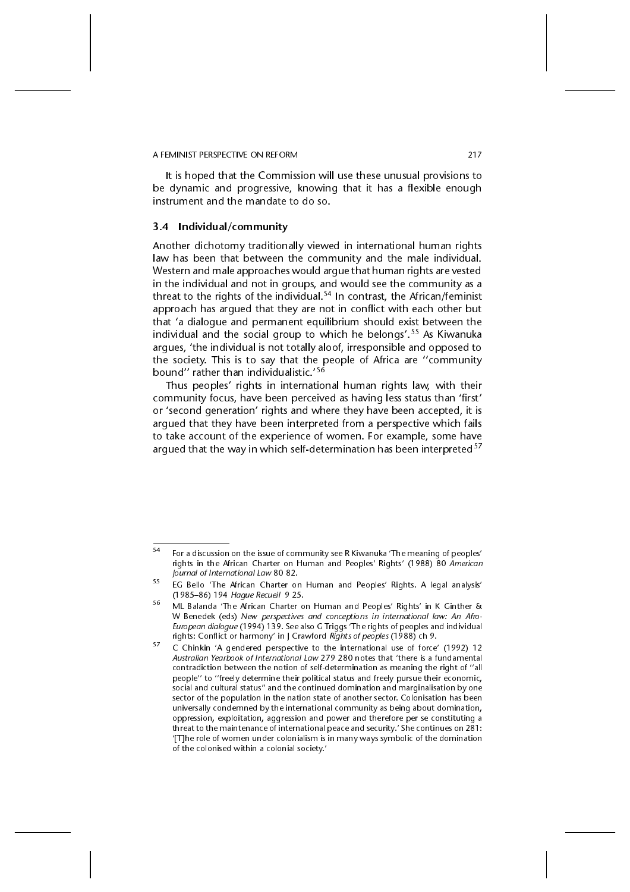It is hoped that the Commission will use these unusual provisions to be dynamic and progressive, knowing that it has a flexible enough instrument and the mandate to do so.

### 3.4 Individual/community

Another dichotomy traditionally viewed in international human rights law has been that between the community and the male individual. Western and male approaches would argue that human rights are vested in the individual and not in groups, and would see the community as a threat to the rights of the individual.<sup>54</sup> In contrast, the African/feminist approach has argued that they are not in conflict with each other but that 'a dialogue and permanent equilibrium should exist between the individual and the social group to which he belongs'.<sup>55</sup> As Kiwanuka argues, the individual is not totally aloof, irresponsible and opposed to the society. This is to say that the people of Africa are "community bound" rather than individualistic.'56

Thus peoples' rights in international human rights law, with their community focus, have been perceived as having less status than 'first' or 'second generation' rights and where they have been accepted, it is argued that they have been interpreted from a perspective which fails to take account of the experience of women. For example, some have argued that the way in which self-determination has been interpreted  $57$ 

 $\overline{54}$  For a discussion on the issue of community see R Kiwanuka 'The meaning of peoples' rights in the African Charter on Human and Peoples' Rights' (1988) 80 American<br>Journal of International Law 80 82.

<sup>&</sup>lt;sup>55</sup> EG Bello 'The African Charter on Human and Peoples' Rights. A legal analysis' (1985–86) 194 Haque Recueil 9 25.

<sup>&</sup>lt;sup>56</sup> ML Balanda 'The African Charter on Human and Peoples' Rights' in K Ginther & W Benedek (eds) New perspectives and conceptions in international law: An Afro-European dialogue (1994) 139. See also G Triggs 'The rights of peoples and individual rights: Conflict or harmony' in J Crawford Rights of peoples (1988) ch 9.

rights: Conflict or harmony in J Crambia Rights of peoples (1988) ch 9.  $\frac{1}{2}$  C Chinkin 'A gendered perspective to the international use of force' (1992) 12 Australian Yearbook of International Law 279 280 notes that 'there is a fundamental contradiction between the notion of self-determination as meaning the right of "all people" to "freely determine their political status and freely pursue their economic, social and cultural status" and the continued domination and marginalisation by one sector of the population in the nation state of another sector. Colonisation has been universally condemned by the international community as being about domination, oppression, exploitation, aggression and power and therefore per se constituting a threat to the maintenance of international peace and security.' She continues on 281: [T]he role of women under colonialism is in many ways symbolic of the domination of the colonised within a colonial society.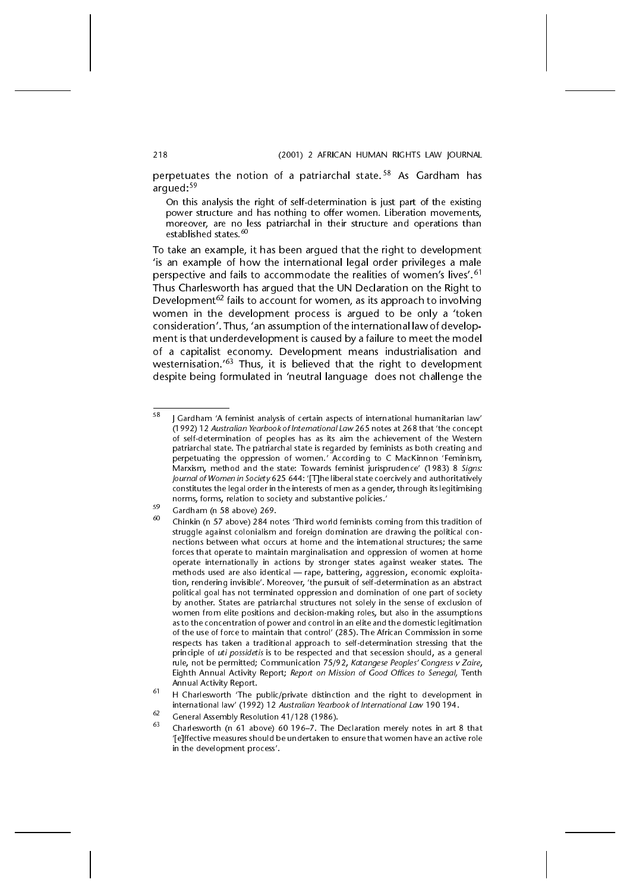perpetuates the notion of a patriarchal state.<sup>58</sup> As Gardham has argued:<sup>59</sup>

On this analysis the right of self-determination is just part of the existing power structure and has nothing to offer women. Liberation movements, moreover, are no less patriarchal in their structure and operations than established states.<sup>60</sup>

To take an example, it has been argued that the right to development is an example of how the international legal order privileges a male perspective and fails to accommodate the realities of women's lives'.<sup>61</sup> Thus Charlesworth has argued that the UN Declaration on the Right to Development<sup>62</sup> fails to account for women, as its approach to involving women in the development process is arqued to be only a 'token consideration'. Thus, 'an assumption of the international law of development is that underdevelopment is caused by a failure to meet the model of a capitalist economy. Development means industrialisation and westernisation.<sup>63</sup> Thus, it is believed that the right to development despite being formulated in 'neutral language does not challenge the

 $\overline{\text{58}}$  J Gardham 'A feminist analysis of certain aspects of international humanitarian law' (1992) 12 Australian Yearbook of International Law 265 notes at 268 that 'the concept of self-determination of peoples has as its aim the achievement of the Western patriarchal state. The patriarchal state is regarded by feminists as both creating and perpetuating the oppression of women.' According to C MacKinnon 'Feminism, Marxism, method and the state: Towards feminist jurisprudence' (1983) 8 *Signs:* Journal of Women in Society 625 644: [T]he liberal state coercively and authoritatively constitutes the legal order in the interests of men as a gender, through its legitimising

norms, forms, relation to society and substantive policies.'<br><sup>59</sup> Gardham (n 58 above) 269.<br><sup>60</sup> Chinkin (n 57 above) 284 notes 'Third world feminists coming from this tradition of struggle against colonialism and foreign domination are drawing the political connections between what occurs at home and the international structures; the same forces that operate to maintain marginalisation and oppression of women at home operate internationally in actions by stronger states against weaker states. The methods used are also identical - rape, battering, aggression, economic exploitation, rendering invisible'. Moreover, 'the pursuit of self-determination as an abstract political goal has not terminated oppression and domination of one part of society by another. States are patriarchal structures not solely in the sense of exclusion of women from elite positions and decision-making roles, but also in the assumptions as to the concentration of power and control in an elite and the domestic legitimation of the use of force to maintain that control' (285). The African Commission in some respects has taken a traditional approach to self-determination stressing that the principle of uti possidetis is to be respected and that secession should, as a general rule, not be permitted; Communication 75/92, Katangese Peoples' Congress v Zaire, Eighth Annual Activity Report; Report on Mission of Good Offices to Senegal, Tenth

Annual Activity Report.<br><sup>61</sup> H Charlesworth 'The public/private distinction and the right to development in<br>international law' (1992) 12 Australian Yearbook of International Law 190 194.

<sup>&</sup>lt;sup>62</sup> General Assembly Resolution 41/128 (1986).<br><sup>63</sup> Charlesworth (n 61 above) 60 196–7. The Declaration merely notes in art 8 that  $'$  [e]ffective measures should be undertaken to ensure that women have an active role in the development process'.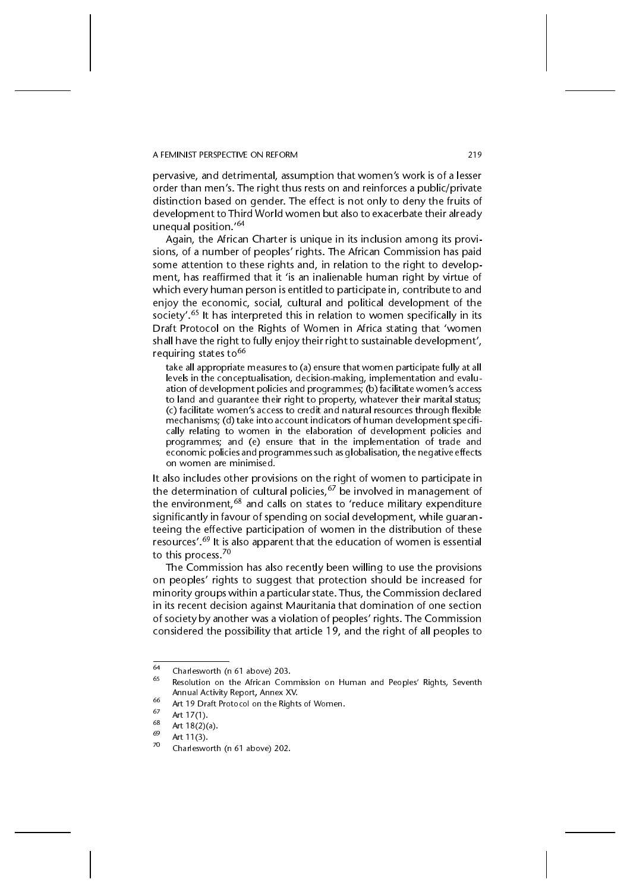pervasive, and detrimental, assumption that women's work is of a lesser order than men's. The right thus rests on and reinforces a public/private distinction based on gender. The effect is not only to deny the fruits of development to Third World women but also to exacerbate their already unequal position.<sup>'64</sup>

Again, the African Charter is unique in its inclusion among its provisions, of a number of peoples' rights. The African Commission has paid some attention to these rights and, in relation to the right to development, has reaffirmed that it 'is an inalienable human right by virtue of which every human person is entitled to participate in, contribute to and enjoy the economic, social, cultural and political development of the society'.<sup>65</sup> It has interpreted this in relation to women specifically in its Draft Protocol on the Rights of Women in Africa stating that 'women shall have the right to fully enjoy their right to sustainable development', requiring states to  $66$ 

take all appropriate measures to (a) ensure that women participate fully at all levels in the conceptualisation, decision-making, implementation and evaluation of development policies and programmes; (b) facilitate women's access to land and guarantee their right to property, whatever their marital status; (c) facilitate women's access to credit and natural resources through flexible mechanisms; (d) take into account indicators of human development specifically relating to women in the elaboration of development policies and programmes; and (e) ensure that in the implementation of trade and economic policies and programmes such as globalisation, the negative effects on women are minimised.

It also includes other provisions on the right of women to participate in the determination of cultural policies,  $67$  be involved in management of the environment,  $68$  and calls on states to 'reduce military expenditure significantly in favour of spending on social development, while guaranteeing the effective participation of women in the distribution of these resources'.<sup>69</sup> It is also apparent that the education of women is essential to this process.<sup>70</sup>

The Commission has also recently been willing to use the provisions on peoples' rights to suggest that protection should be increased for minority groups within a particular state. Thus, the Commission declared in its recent decision against Mauritania that domination of one section of society by another was a violation of peoples' rights. The Commission considered the possibility that article 19, and the right of all peoples to

<sup>64</sup> Charlesworth (n 61 above) 203.<br>
65 Resolution on the African Commission on Human and Peoples' Rights, Seventh<br>
Annual Activity Report, Annex XV.

Annual Activity Report, Annex XV.<br>
Art 19 Draft Protocol on the Rights of Women.<br>
Art 17(1).<br>
68 Art 18(2)(a).<br>
Art 11(3).<br>
Charlesworth (n 61 above) 202.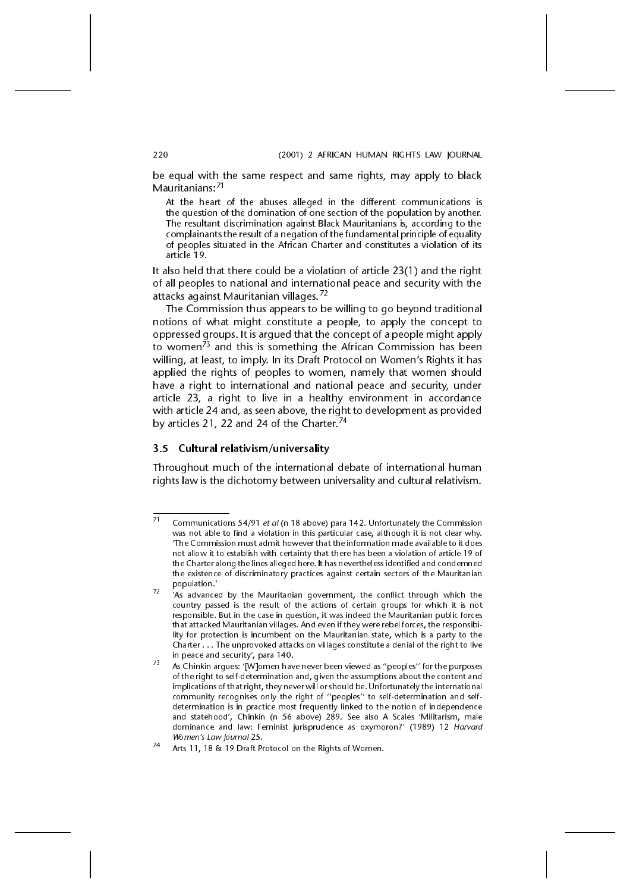be equal with the same respect and same rights, may apply to black Mauritanians: 71

At the heart of the abuses alleged in the different communications is the question of the domination of one section of the population by another. The resultant discrimination against Black Mauritanians is, according to the complainants the result of a negation of the fundamental principle of equality of peoples situated in the African Charter and constitutes a violation of its article 19.

It also held that there could be a violation of article 23(1) and the right of all peoples to national and international peace and security with the attacks against Mauritanian villages.<sup>72</sup>

The Commission thus appears to be willing to go beyond traditional notions of what might constitute a people, to apply the concept to oppressed groups. It is argued that the concept of a people might apply to women<sup> $\bar{7}$ 3</sup> and this is something the African Commission has been willing, at least, to imply. In its Draft Protocol on Women's Rights it has applied the rights of peoples to women, namely that women should have a right to international and national peace and security, under article 23, a right to live in a healthy environment in accordance with article 24 and, as seen above, the right to development as provided by articles 21, 22 and 24 of the Charter.<sup>74</sup>

## 3.5 Cultural relativism/universality

Throughout much of the international debate of international human rights law is the dichotomy between universality and cultural relativism.

<sup>&</sup>lt;sup>71</sup> Communications 54/91 et al (n 18 above) para 142. Unfortunately the Commission was not able to find a violation in this particular case, although it is not clear why. The Commission must admit however that the information made available to it does not allow it to establish with certainty that there has been a violation of article 19 of the Charter along the lines alleged here. It has nevertheless identified and condemned the existence of discriminatory practices against certain sectors of the Mauritanian

 $\frac{72}{10}$   $\frac{1}{10}$  advanced by the Mauritanian government, the conflict through which the country passed is the result of the actions of certain groups for which it is not responsible. But in the case in question, it was indeed the Mauritanian public forces that attacked Mauritanian villages. And even if they were rebel forces, the responsibility for protection is incumbent on the Mauritanian state, which is a party to the Charter . . . The unprovoked attacks on villages constitute a denial of the right to live

in peace and security', para 140.<br><sup>73</sup> As Chinkin argues: '[W]omen have never been viewed as ''peoples'' for the purposes of the right to self-determination and, given the assumptions about the content and implications of that right, they never will or should be. Unfortunately the international community recognises only the right of "peoples" to self-determination and selfdetermination is in practice most frequently linked to the notion of independence and statehood', Chinkin (n 56 above) 289. See also A Scales 'Militarism, male dominance and law: Feminist jurisprudence as oxymoron? (1989) 12 Harvard Women's Law Journal 25.<br><sup>74</sup> Arts 11, 18 & 19 Draft Protocol on the Rights of Women.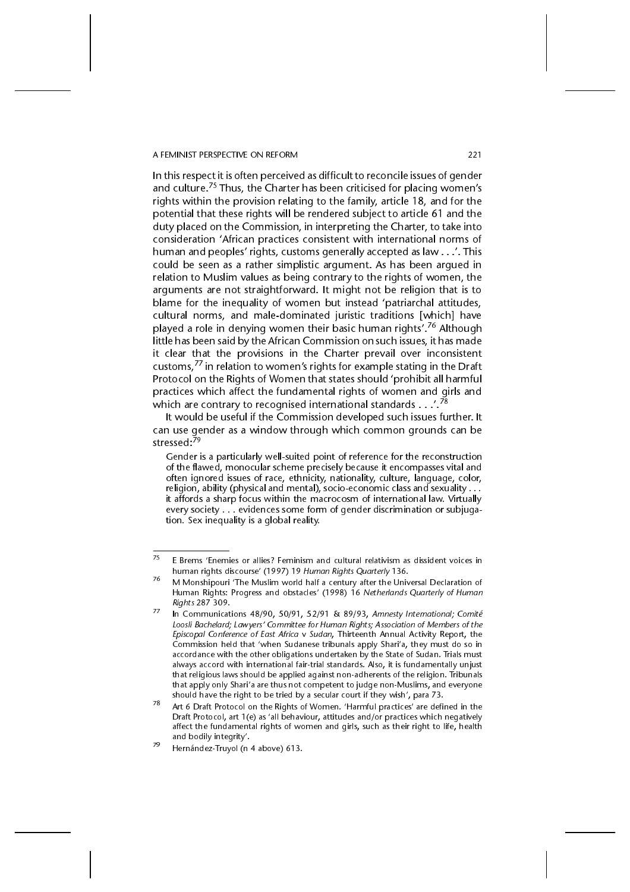In this respect it is often perceived as difficult to reconcile issues of gender and culture.<sup>75</sup> Thus, the Charter has been criticised for placing women's rights within the provision relating to the family, article 18, and for the potential that these rights will be rendered subject to article 61 and the duty placed on the Commission, in interpreting the Charter, to take into consideration African practices consistent with international norms of human and peoples' rights, customs generally accepted as law . . .'. This could be seen as a rather simplistic argument. As has been argued in relation to Muslim values as being contrary to the rights of women, the arguments are not straightforward. It might not be religion that is to blame for the inequality of women but instead 'patriarchal attitudes, cultural norms, and male-dominated juristic traditions [which] have played a role in denying women their basic human rights'.<sup>76</sup> Although little has been said by the African Commission on such issues, it has made it clear that the provisions in the Charter prevail over inconsistent customs, $^{77}$  in relation to women's rights for example stating in the Draft Protocol on the Rights of Women that states should 'prohibit all harmful practices which affect the fundamental rights of women and girls and which are contrary to recognised international standards . . . ".<sup>78</sup>

It would be useful if the Commission developed such issues further. It can use gender as a window through which common grounds can be stressed:<sup>79</sup>

Gender is a particularly well-suited point of reference for the reconstruction of the flawed, monocular scheme precisely because it encompasses vital and often ignored issues of race, ethnicity, nationality, culture, language, color, religion, ability (physical and mental), socio-economic class and sexuality... it affords a sharp focus within the macrocosm of international law. Virtually every society . . . evidences some form of gender discrimination or subjugation. Sex inequality is a global reality.

<sup>&</sup>lt;sup>75</sup> E Brems 'Enemies or allies? Feminism and cultural relativism as dissident voices in human rights discourse' (1997) 19 Human Rights Quarterly 136.

 $196$  M Monshipouri The Muslim world half a century after the Universal Declaration of Human Rights: Progress and obstacles' (1998) 16 Netherlands Quarterly of Human

Rights 287 309.<br><sup>77</sup> In Communications 48/90, 50/91, 52/91 & 89/93, Amnesty International; Comité Loosli Bachelard; Lawyers Committee for Human Rights; Association of Members of the Episcopal Conference of East Africa v Sudan, Thirteenth Annual Activity Report, the Commission held that 'when Sudanese tribunals apply Shari'a, they must do so in accordance with the other obligations undertaken by the State of Sudan. Trials must always accord with international fair-trial standards. Also, it is fundamentally unjust that religious laws should be applied against non-adherents of the religion. Tribunals that apply only Shari'a are thus not competent to judge non-Muslims, and everyone

should have the right to be tried by a secular court if they wish', para 73.<br><sup>78</sup> Art 6 Draft Protocol on the Rights of Women. Harmful practices' are defined in the Draft Protocol, art  $1(e)$  as 'all behaviour, attitudes and/or practices which negatively affect the fundamental rights of women and girls, such as their right to life, health and bodily integrity'.

 $\frac{79}{2}$  Hernández-Truyol (n 4 above) 613.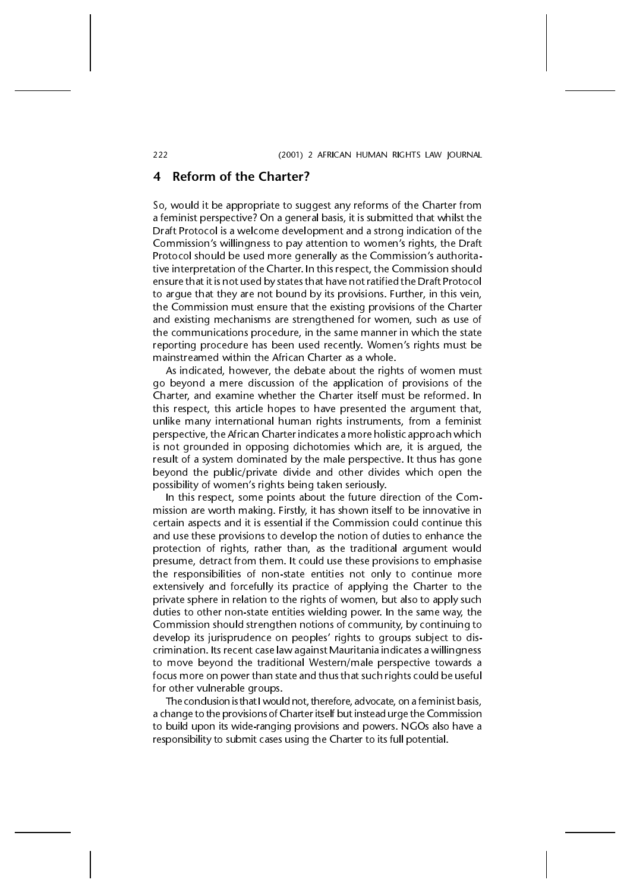# 4 Reform of the Charter?

So, would it be appropriate to suggest any reforms of the Charter from a feminist perspective? On a general basis, it is submitted that whilst the Draft Protocol is a welcome development and a strong indication of the Commission's willingness to pay attention to women's rights, the Draft Protocol should be used more generally as the Commission's authoritative interpretation of the Charter. In this respect, the Commission should ensure that it is not used by states that have not ratified the Draft Protocol to argue that they are not bound by its provisions. Further, in this vein, the Commission must ensure that the existing provisions of the Charter and existing mechanisms are strengthened for women, such as use of the communications procedure, in the same manner in which the state reporting procedure has been used recently. Women's rights must be mainstreamed within the African Charter as a whole.

As indicated, however, the debate about the rights of women must go beyond a mere discussion of the application of provisions of the Charter, and examine whether the Charter itself must be reformed. In this respect, this article hopes to have presented the argument that, unlike many international human rights instruments, from a feminist perspective, the African Charter indicates a more holistic approach which is not grounded in opposing dichotomies which are, it is argued, the result of a system dominated by the male perspective. It thus has gone beyond the public/private divide and other divides which open the possibility of women's rights being taken seriously.

In this respect, some points about the future direction of the Commission are worth making. Firstly, it has shown itself to be innovative in certain aspects and it is essential if the Commission could continue this and use these provisions to develop the notion of duties to enhance the protection of rights, rather than, as the traditional argument would presume, detract from them. It could use these provisions to emphasise the responsibilities of non-state entities not only to continue more extensively and forcefully its practice of applying the Charter to the private sphere in relation to the rights of women, but also to apply such duties to other non-state entities wielding power. In the same way, the Commission should strengthen notions of community, by continuing to develop its jurisprudence on peoples' rights to groups subject to discrimination. Its recent case law against Mauritania indicates a willingness to move beyond the traditional Western/male perspective towards a focus more on power than state and thus that such rights could be useful for other vulnerable groups.

The conclusion is that I would not, therefore, advocate, on a feminist basis, a change to the provisions of Charter itself but instead urge the Commission to build upon its wide-ranging provisions and powers. NGOs also have a responsibility to submit cases using the Charter to its full potential.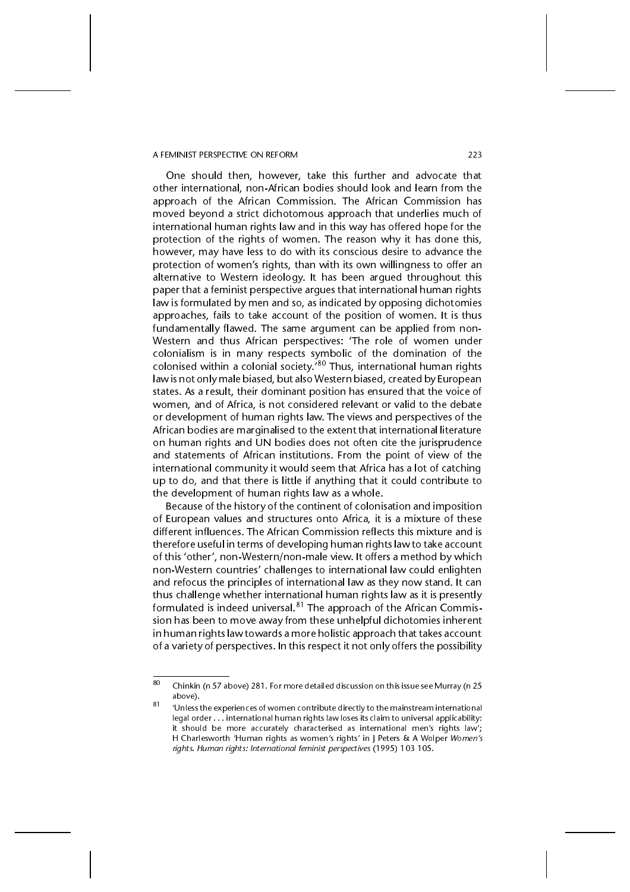One should then, however, take this further and advocate that other international, non-African bodies should look and learn from the approach of the African Commission. The African Commission has moved beyond a strict dichotomous approach that underlies much of international human rights law and in this way has offered hope for the protection of the rights of women. The reason why it has done this, however, may have less to do with its conscious desire to advance the protection of women's rights, than with its own willingness to offer an alternative to Western ideology. It has been argued throughout this paper that a feminist perspective argues that international human rights law is formulated by men and so, as indicated by opposing dichotomies approaches, fails to take account of the position of women. It is thus fundamentally flawed. The same argument can be applied from non-Western and thus African perspectives: The role of women under colonialism is in many respects symbolic of the domination of the colonised within a colonial society.<sup>780</sup> Thus, international human rights law is not only male biased, but also Western biased, created by European states. As a result, their dominant position has ensured that the voice of women, and of Africa, is not considered relevant or valid to the debate or development of human rights law. The views and perspectives of the African bodies are marginalised to the extent that international literature on human rights and UN bodies does not often cite the jurisprudence and statements of African institutions. From the point of view of the international community it would seem that Africa has a lot of catching up to do, and that there is little if anything that it could contribute to the development of human rights law as a whole.

Because of the history of the continent of colonisation and imposition of European values and structures onto Africa, it is a mixture of these different influences. The African Commission reflects this mixture and is therefore useful in terms of developing human rights law to take account of this 'other', non-Western/non-male view. It offers a method by which non-Western countries' challenges to international law could enlighten and refocus the principles of international law as they now stand. It can thus challenge whether international human rights law as it is presently formulated is indeed universal.<sup>81</sup> The approach of the African Commission has been to move away from these unhelpful dichotomies inherent in human rights law towards a more holistic approach that takes account of a variety of perspectives. In this respect it not only offers the possibility

<sup>80</sup> Chinkin (n 57 above) 281. For more detailed discussion on this issue see Murray (n 25 above).<br><sup>81</sup> V unless the experiences of women contribute directly to the mainstream international

legal order . . . international human rights law loses its claim to universal applicability: it should be more accurately characterised as international men's rights law'; H Charlesworth 'Human rights as women's rights' in I Peters & A Wolper Women's rights. Human rights: International feminist perspectives (1995) 103 105.